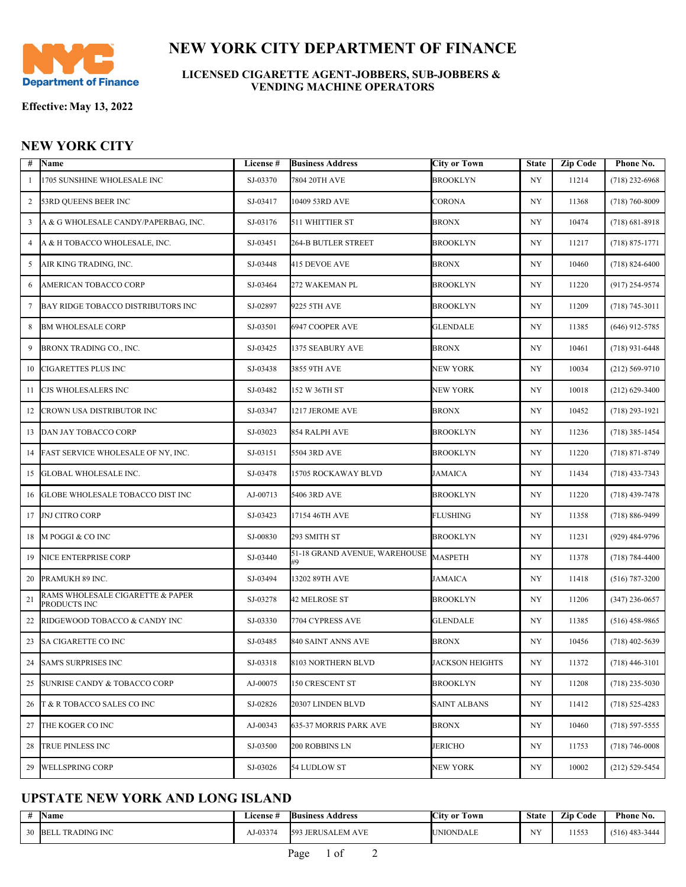

## **NEW YORK CITY DEPARTMENT OF FINANCE**

**LICENSED CIGARETTE AGENT-JOBBERS, SUB-JOBBERS & VENDING MACHINE OPERATORS**

**Effective:May 13, 2022**

## **NEW YORK CITY**

| #              | Name                                             | License # | <b>Business Address</b>       | <b>City or Town</b> | <b>State</b>     | <b>Zip Code</b> | Phone No.          |
|----------------|--------------------------------------------------|-----------|-------------------------------|---------------------|------------------|-----------------|--------------------|
| 1              | 1705 SUNSHINE WHOLESALE INC                      | SJ-03370  | 7804 20TH AVE                 | <b>BROOKLYN</b>     | NY <sub></sub>   | 11214           | $(718)$ 232-6968   |
| 2              | 53RD QUEENS BEER INC                             | SJ-03417  | 10409 53RD AVE                | CORONA              | NY               | 11368           | $(718) 760 - 8009$ |
| 3              | A & G WHOLESALE CANDY/PAPERBAG, INC.             | SJ-03176  | 511 WHITTIER ST               | BRONX               | NY               | 10474           | $(718) 681 - 8918$ |
| $\overline{4}$ | A & H TOBACCO WHOLESALE, INC.                    | SJ-03451  | 264-B BUTLER STREET           | <b>BROOKLYN</b>     | NY               | 11217           | $(718) 875 - 1771$ |
| 5              | AIR KING TRADING, INC.                           | SJ-03448  | 415 DEVOE AVE                 | <b>BRONX</b>        | NY               | 10460           | $(718) 824 - 6400$ |
| 6              | AMERICAN TOBACCO CORP                            | SJ-03464  | 272 WAKEMAN PL                | <b>BROOKLYN</b>     | NY               | 11220           | $(917)$ 254-9574   |
| 7              | BAY RIDGE TOBACCO DISTRIBUTORS INC               | SJ-02897  | 9225 5TH AVE                  | <b>BROOKLYN</b>     | NY               | 11209           | $(718) 745 - 3011$ |
| 8              | <b>BM WHOLESALE CORP</b>                         | SJ-03501  | 6947 COOPER AVE               | <b>GLENDALE</b>     | NY               | 11385           | $(646)$ 912-5785   |
| 9              | BRONX TRADING CO., INC.                          | SJ-03425  | 1375 SEABURY AVE              | <b>BRONX</b>        | NY               | 10461           | $(718)$ 931-6448   |
| 10             | CIGARETTES PLUS INC                              | SJ-03438  | 3855 9TH AVE                  | NEW YORK            | NY               | 10034           | $(212) 569 - 9710$ |
| 11             | CJS WHOLESALERS INC                              | SJ-03482  | 152 W 36TH ST                 | NEW YORK            | NY               | 10018           | $(212)$ 629-3400   |
| 12             | CROWN USA DISTRIBUTOR INC                        | SJ-03347  | 1217 JEROME AVE               | <b>BRONX</b>        | NY               | 10452           | $(718)$ 293-1921   |
| 13             | DAN JAY TOBACCO CORP                             | SJ-03023  | 854 RALPH AVE                 | <b>BROOKLYN</b>     | NY               | 11236           | $(718)$ 385-1454   |
| 14             | FAST SERVICE WHOLESALE OF NY, INC.               | SJ-03151  | 5504 3RD AVE                  | <b>BROOKLYN</b>     | NY               | 11220           | $(718) 871 - 8749$ |
| 15             | <b>GLOBAL WHOLESALE INC.</b>                     | SJ-03478  | 15705 ROCKAWAY BLVD           | <b>JAMAICA</b>      | NY               | 11434           | $(718)$ 433-7343   |
| 16             | <b>GLOBE WHOLESALE TOBACCO DIST INC</b>          | AJ-00713  | 5406 3RD AVE                  | BROOKLYN            | NY               | 11220           | $(718)$ 439-7478   |
| 17             | <b>JNJ CITRO CORP</b>                            | SJ-03423  | 17154 46TH AVE                | FLUSHING            | NY               | 11358           | $(718) 886 - 9499$ |
| 18             | M POGGI & CO INC                                 | SJ-00830  | 293 SMITH ST                  | <b>BROOKLYN</b>     | NY               | 11231           | (929) 484-9796     |
| 19             | NICE ENTERPRISE CORP                             | SJ-03440  | 51-18 GRAND AVENUE, WAREHOUSE | <b>MASPETH</b>      | NY               | 11378           | $(718) 784 - 4400$ |
| 20             | PRAMUKH 89 INC.                                  | SJ-03494  | 13202 89TH AVE                | JAMAICA             | NY               | 11418           | $(516) 787 - 3200$ |
| 21             | RAMS WHOLESALE CIGARETTE & PAPER<br>PRODUCTS INC | SJ-03278  | 42 MELROSE ST                 | <b>BROOKLYN</b>     | NY               | 11206           | $(347)$ 236-0657   |
| 22             | RIDGEWOOD TOBACCO & CANDY INC                    | SJ-03330  | 7704 CYPRESS AVE              | <b>GLENDALE</b>     | NY               | 11385           | $(516)$ 458-9865   |
| 23             | SA CIGARETTE CO INC                              | SJ-03485  | 840 SAINT ANNS AVE            | <b>BRONX</b>        | NY               | 10456           | $(718)$ 402-5639   |
|                | 24 SAM'S SURPRISES INC                           | SJ-03318  | 8103 NORTHERN BLVD            | JACKSON HEIGHTS     | $_{\mathrm{NY}}$ | 11372           | $(718)$ 446-3101   |
|                | 25 SUNRISE CANDY & TOBACCO CORP                  | AJ-00075  | 150 CRESCENT ST               | <b>BROOKLYN</b>     | NY               | 11208           | $(718)$ 235-5030   |
| 26             | T & R TOBACCO SALES CO INC                       | SJ-02826  | 20307 LINDEN BLVD             | SAINT ALBANS        | NY               | 11412           | $(718) 525 - 4283$ |
| 27             | THE KOGER CO INC                                 | AJ-00343  | 635-37 MORRIS PARK AVE        | <b>BRONX</b>        | NY               | 10460           | $(718)$ 597-5555   |
| 28             | <b>TRUE PINLESS INC</b>                          | SJ-03500  | 200 ROBBINS LN                | JERICHO             | NY               | 11753           | $(718) 746 - 0008$ |
| 29             | <b>WELLSPRING CORP</b>                           | SJ-03026  | 54 LUDLOW ST                  | NEW YORK            | NY               | 10002           | $(212)$ 529-5454   |

## **UPSTATE NEW YORK AND LONG ISLAND**

| -44     | <b>Name</b>                   | License † | <b>Business</b><br>Address            | <b>CONTRACTOR</b><br>Town<br>√City or | <b>State</b> | <b>Zip Code</b> | Phone No.        |
|---------|-------------------------------|-----------|---------------------------------------|---------------------------------------|--------------|-----------------|------------------|
| 30<br>◡ | <b>TRADING INC</b><br>- IBELL | AJ-03374  | <b>JERUSALEM</b><br><b>AVE</b><br>159 | JNIONDALE                             | <b>ATV</b>   | 11553           | $(516)$ 483-3444 |